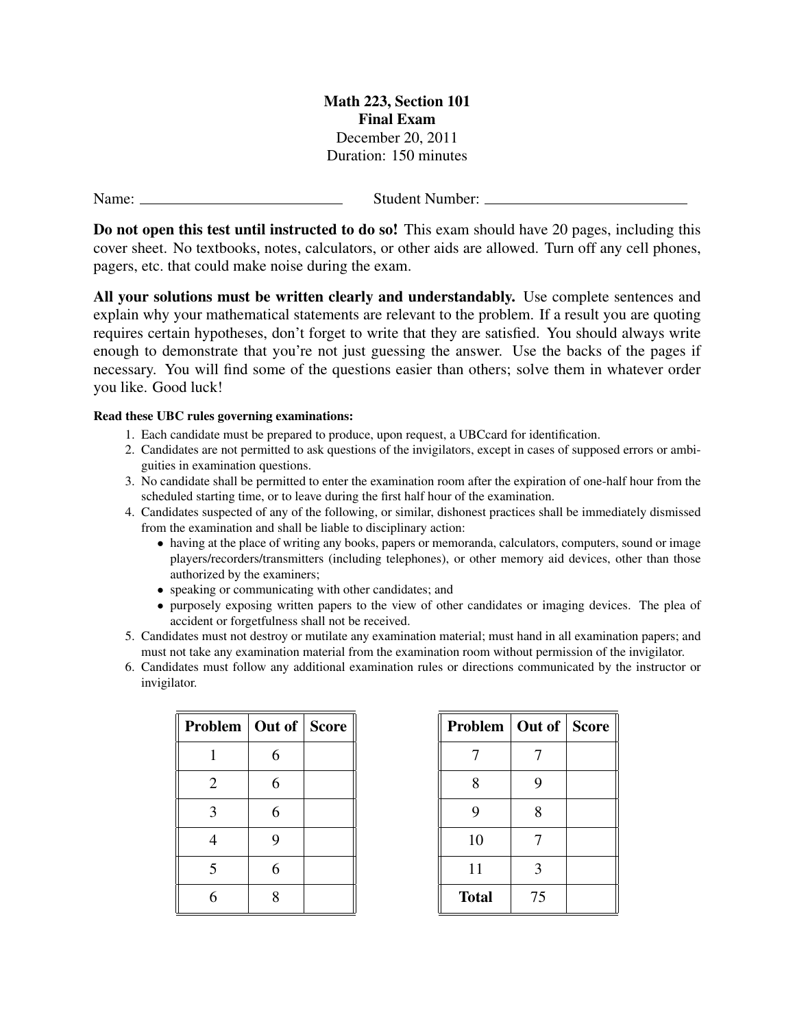Math 223, Section 101 Final Exam December 20, 2011 Duration: 150 minutes

Name: <u>Name:</u> Student Number:

Do not open this test until instructed to do so! This exam should have 20 pages, including this cover sheet. No textbooks, notes, calculators, or other aids are allowed. Turn off any cell phones, pagers, etc. that could make noise during the exam.

All your solutions must be written clearly and understandably. Use complete sentences and explain why your mathematical statements are relevant to the problem. If a result you are quoting requires certain hypotheses, don't forget to write that they are satisfied. You should always write enough to demonstrate that you're not just guessing the answer. Use the backs of the pages if necessary. You will find some of the questions easier than others; solve them in whatever order you like. Good luck!

## Read these UBC rules governing examinations:

- 1. Each candidate must be prepared to produce, upon request, a UBCcard for identification.
- 2. Candidates are not permitted to ask questions of the invigilators, except in cases of supposed errors or ambiguities in examination questions.
- 3. No candidate shall be permitted to enter the examination room after the expiration of one-half hour from the scheduled starting time, or to leave during the first half hour of the examination.
- 4. Candidates suspected of any of the following, or similar, dishonest practices shall be immediately dismissed from the examination and shall be liable to disciplinary action:
	- having at the place of writing any books, papers or memoranda, calculators, computers, sound or image players/recorders/transmitters (including telephones), or other memory aid devices, other than those authorized by the examiners;
	- speaking or communicating with other candidates; and
	- purposely exposing written papers to the view of other candidates or imaging devices. The plea of accident or forgetfulness shall not be received.
- 5. Candidates must not destroy or mutilate any examination material; must hand in all examination papers; and must not take any examination material from the examination room without permission of the invigilator.
- 6. Candidates must follow any additional examination rules or directions communicated by the instructor or invigilator.

| Problem   Out of   Score |   |  |
|--------------------------|---|--|
|                          | 6 |  |
| $\overline{2}$           | 6 |  |
| 3                        | 6 |  |
| 4                        | 9 |  |
| 5                        | 6 |  |
| 6                        | 8 |  |

| Problem   Out of   Score |    |  |
|--------------------------|----|--|
| 7                        |    |  |
| 8                        | 9  |  |
| 9                        | 8  |  |
| 10                       | 7  |  |
| 11                       | 3  |  |
| <b>Total</b>             | 75 |  |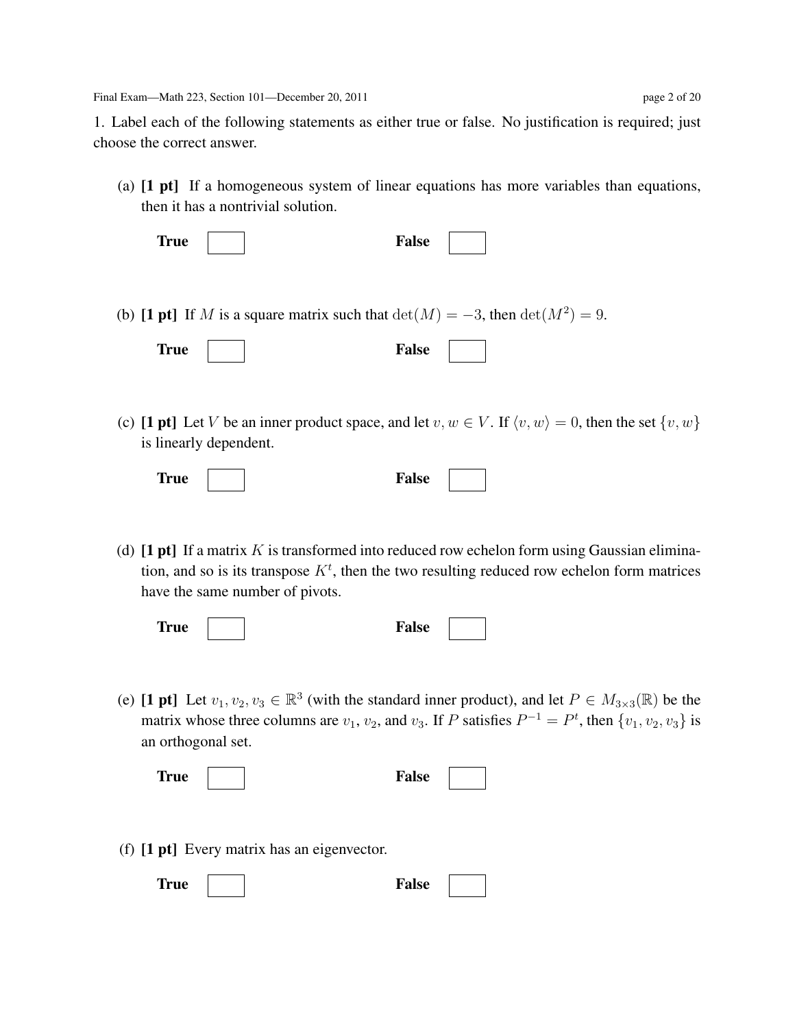Final Exam—Math 223, Section 101—December 20, 2011 page 2 of 20

1. Label each of the following statements as either true or false. No justification is required; just choose the correct answer.

(a) [1 pt] If a homogeneous system of linear equations has more variables than equations, then it has a nontrivial solution.

| <b>True</b> | <b>False</b> |
|-------------|--------------|
|-------------|--------------|

(b) [1 pt] If M is a square matrix such that  $\det(M) = -3$ , then  $\det(M^2) = 9$ .

| <b>True</b> |  | <b>False</b> |  |  |
|-------------|--|--------------|--|--|
|-------------|--|--------------|--|--|

(c) [1 pt] Let V be an inner product space, and let  $v, w \in V$ . If  $\langle v, w \rangle = 0$ , then the set  $\{v, w\}$ is linearly dependent.

|  | <b>True</b><br>False |  |
|--|----------------------|--|
|--|----------------------|--|

(d)  $[1 pt]$  If a matrix K is transformed into reduced row echelon form using Gaussian elimination, and so is its transpose  $K<sup>t</sup>$ , then the two resulting reduced row echelon form matrices have the same number of pivots.

| <b>True</b> | alse |  |
|-------------|------|--|
|             |      |  |

(e) [1 pt] Let  $v_1, v_2, v_3 \in \mathbb{R}^3$  (with the standard inner product), and let  $P \in M_{3 \times 3}(\mathbb{R})$  be the matrix whose three columns are  $v_1$ ,  $v_2$ , and  $v_3$ . If P satisfies  $P^{-1} = P^t$ , then  $\{v_1, v_2, v_3\}$  is an orthogonal set.

| rue | False |
|-----|-------|
|-----|-------|

(f) [1 pt] Every matrix has an eigenvector.

| <b>True</b> |  | <b>False</b> |  |  |
|-------------|--|--------------|--|--|
|-------------|--|--------------|--|--|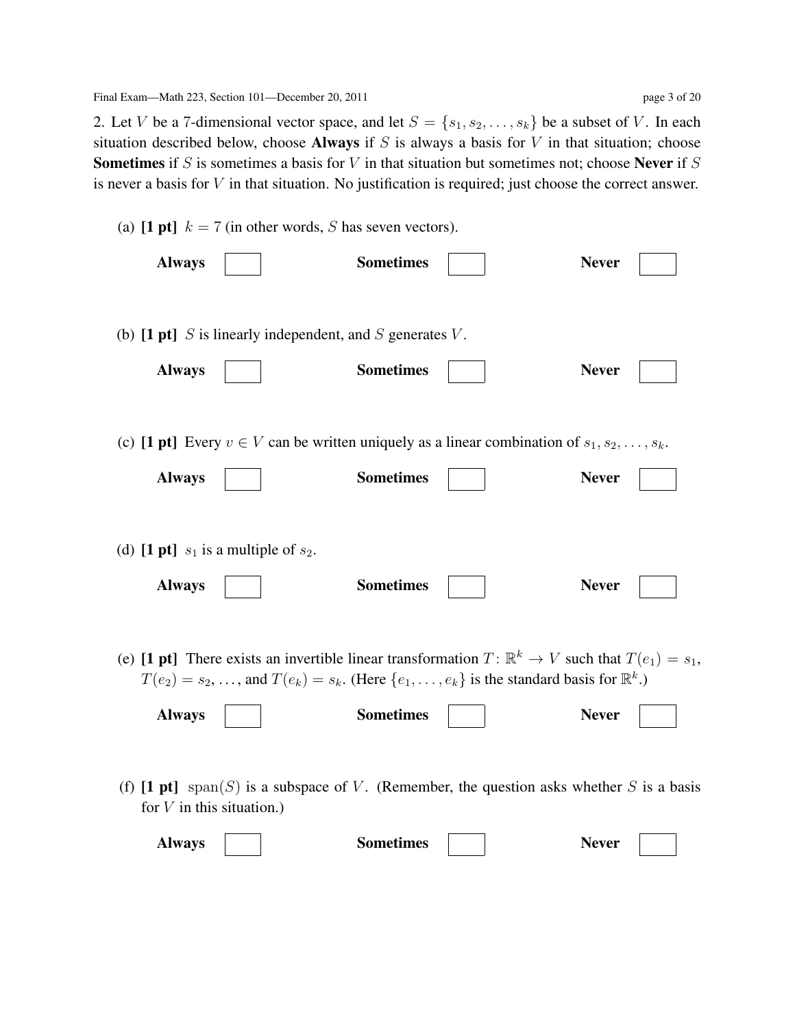2. Let V be a 7-dimensional vector space, and let  $S = \{s_1, s_2, \ldots, s_k\}$  be a subset of V. In each situation described below, choose **Always** if  $S$  is always a basis for  $V$  in that situation; choose **Sometimes** if S is sometimes a basis for V in that situation but sometimes not; choose **Never** if S is never a basis for  $V$  in that situation. No justification is required; just choose the correct answer.

|                             | (a) [1 pt] $k = 7$ (in other words, S has seven vectors).                                |                  |                                                                                                                                                                                                                                          |              |
|-----------------------------|------------------------------------------------------------------------------------------|------------------|------------------------------------------------------------------------------------------------------------------------------------------------------------------------------------------------------------------------------------------|--------------|
| <b>Always</b>               |                                                                                          | <b>Sometimes</b> |                                                                                                                                                                                                                                          | <b>Never</b> |
|                             |                                                                                          |                  |                                                                                                                                                                                                                                          |              |
|                             | (b) $[1 \text{ pt}]$ <i>S</i> is linearly independent, and <i>S</i> generates <i>V</i> . |                  |                                                                                                                                                                                                                                          |              |
| <b>Always</b>               |                                                                                          | <b>Sometimes</b> |                                                                                                                                                                                                                                          | <b>Never</b> |
|                             |                                                                                          |                  |                                                                                                                                                                                                                                          |              |
|                             |                                                                                          |                  | (c) [1 pt] Every $v \in V$ can be written uniquely as a linear combination of $s_1, s_2, \ldots, s_k$ .                                                                                                                                  |              |
| <b>Always</b>               |                                                                                          | <b>Sometimes</b> |                                                                                                                                                                                                                                          | <b>Never</b> |
|                             |                                                                                          |                  |                                                                                                                                                                                                                                          |              |
|                             | (d) [1 pt] $s_1$ is a multiple of $s_2$ .                                                |                  |                                                                                                                                                                                                                                          |              |
|                             |                                                                                          |                  |                                                                                                                                                                                                                                          | <b>Never</b> |
| <b>Always</b>               |                                                                                          | <b>Sometimes</b> |                                                                                                                                                                                                                                          |              |
|                             |                                                                                          |                  |                                                                                                                                                                                                                                          |              |
|                             |                                                                                          |                  | (e) [1 pt] There exists an invertible linear transformation $T: \mathbb{R}^k \to V$ such that $T(e_1) = s_1$ ,<br>$T(e_2) = s_2, \ldots$ , and $T(e_k) = s_k$ . (Here $\{e_1, \ldots, e_k\}$ is the standard basis for $\mathbb{R}^k$ .) |              |
|                             |                                                                                          |                  |                                                                                                                                                                                                                                          |              |
| <b>Always</b>               |                                                                                          | <b>Sometimes</b> |                                                                                                                                                                                                                                          | <b>Never</b> |
|                             |                                                                                          |                  |                                                                                                                                                                                                                                          |              |
| for $V$ in this situation.) |                                                                                          |                  | (f) [1 pt] span(S) is a subspace of V. (Remember, the question asks whether S is a basis                                                                                                                                                 |              |
| <b>Always</b>               |                                                                                          | <b>Sometimes</b> |                                                                                                                                                                                                                                          | <b>Never</b> |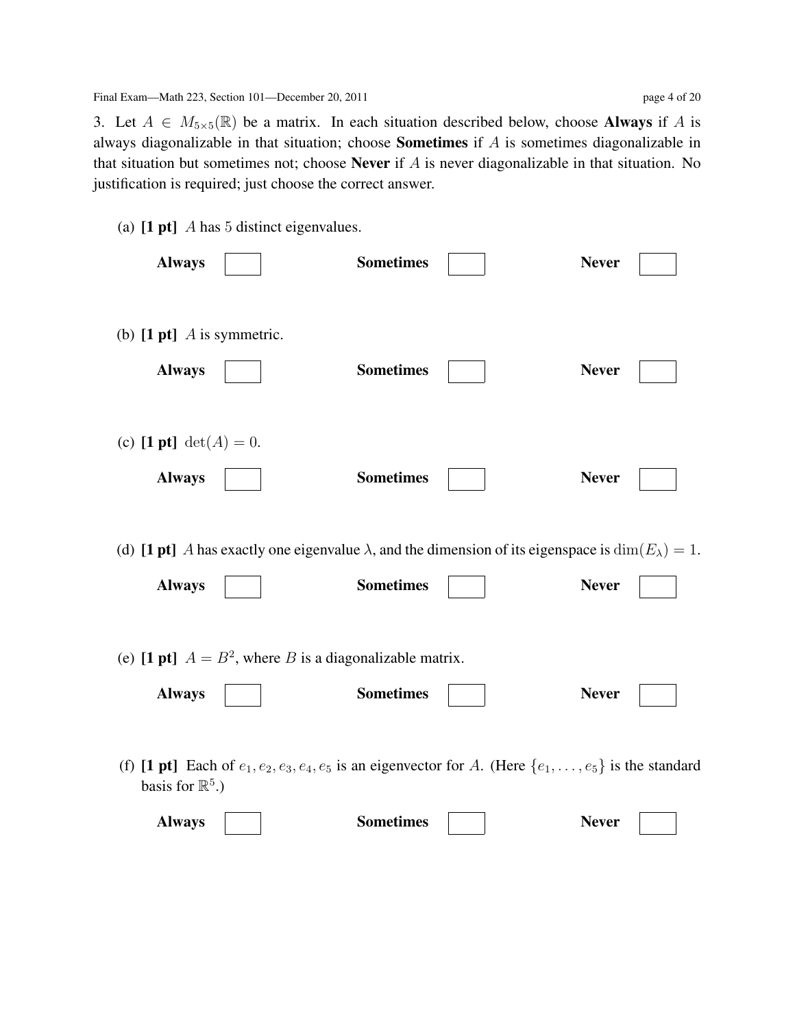3. Let  $A \in M_{5\times 5}(\mathbb{R})$  be a matrix. In each situation described below, choose **Always** if A is always diagonalizable in that situation; choose Sometimes if A is sometimes diagonalizable in that situation but sometimes not; choose Never if  $A$  is never diagonalizable in that situation. No justification is required; just choose the correct answer.

(a)  $[1 \text{ pt}]$  A has 5 distinct eigenvalues.

| <b>Always</b>                                                               | <b>Sometimes</b>                                                                                                                         | <b>Never</b> |
|-----------------------------------------------------------------------------|------------------------------------------------------------------------------------------------------------------------------------------|--------------|
| (b) $[1 \text{ pt}]$ <i>A</i> is symmetric.<br><b>Always</b>                | <b>Sometimes</b>                                                                                                                         | <b>Never</b> |
| (c) [1 pt] $det(A) = 0$ .<br><b>Always</b>                                  | <b>Sometimes</b>                                                                                                                         | <b>Never</b> |
| <b>Always</b>                                                               | (d) [1 pt] A has exactly one eigenvalue $\lambda$ , and the dimension of its eigenspace is $\dim(E_{\lambda}) = 1$ .<br><b>Sometimes</b> | <b>Never</b> |
| (e) [1 pt] $A = B^2$ , where B is a diagonalizable matrix.<br><b>Always</b> | <b>Sometimes</b>                                                                                                                         | <b>Never</b> |
| basis for $\mathbb{R}^5$ .)                                                 | (f) [1 pt] Each of $e_1, e_2, e_3, e_4, e_5$ is an eigenvector for A. (Here $\{e_1, \ldots, e_5\}$ is the standard                       |              |
| <b>Always</b>                                                               | <b>Sometimes</b>                                                                                                                         | <b>Never</b> |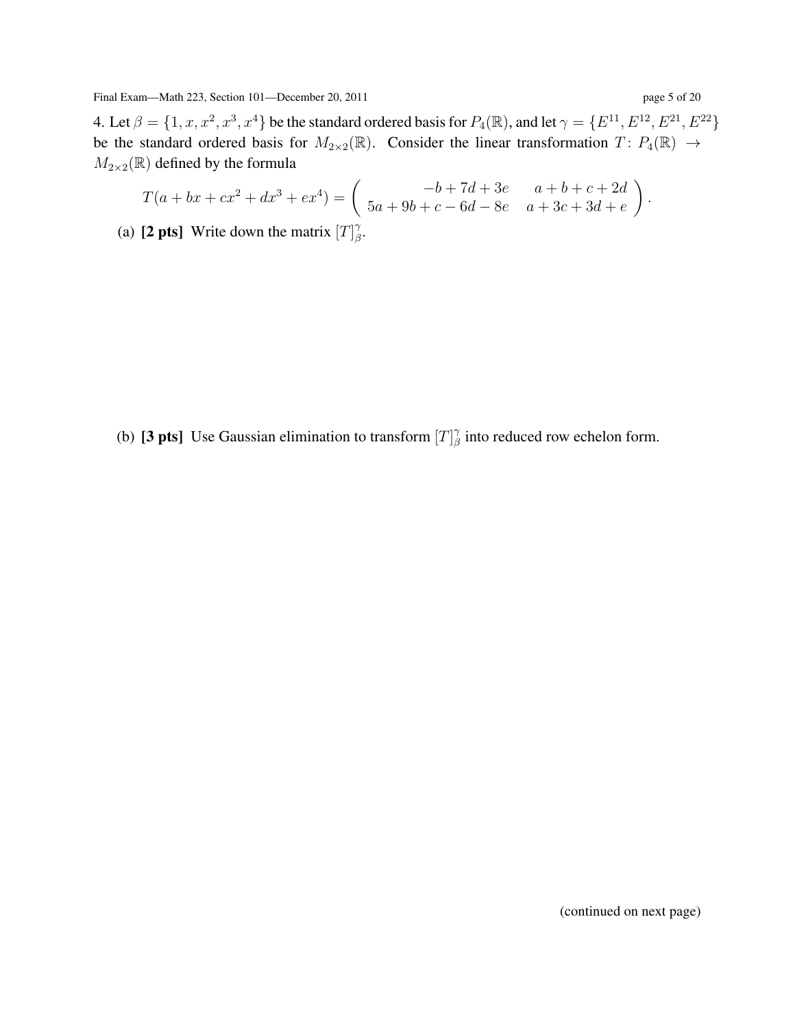Final Exam—Math 223, Section 101—December 20, 2011 page 5 page 5 of 2011

4. Let  $\beta = \{1, x, x^2, x^3, x^4\}$  be the standard ordered basis for  $P_4(\mathbb{R})$ , and let  $\gamma = \{E^{11}, E^{12}, E^{21}, E^{22}\}$ be the standard ordered basis for  $M_{2\times2}(\mathbb{R})$ . Consider the linear transformation  $T: P_4(\mathbb{R}) \to$  $M_{2\times2}(\mathbb{R})$  defined by the formula

$$
T(a + bx + cx^{2} + dx^{3} + ex^{4}) = \begin{pmatrix} -b + 7d + 3e & a + b + c + 2d \\ 5a + 9b + c - 6d - 8e & a + 3c + 3d + e \end{pmatrix}.
$$

(a) [2 pts] Write down the matrix  $[T]_A^{\gamma}$  $_\beta^\gamma.$ 

(b) [3 pts] Use Gaussian elimination to transform  $[T]_A^{\gamma}$  $\frac{\gamma}{\beta}$  into reduced row echelon form.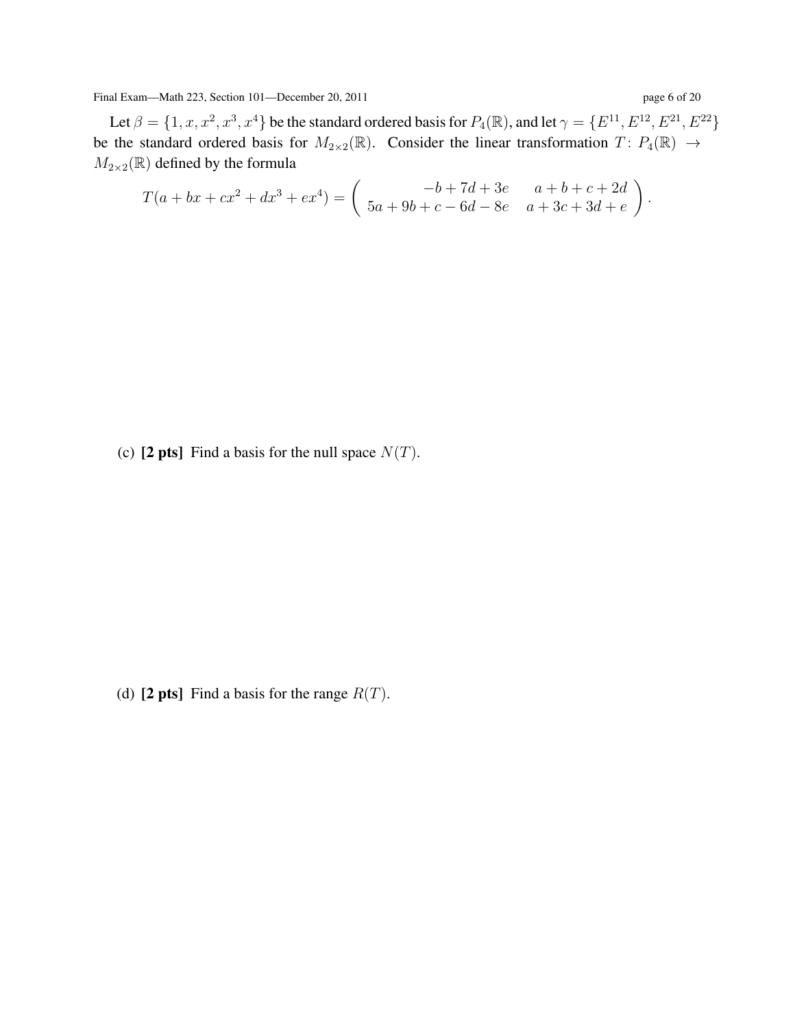Final Exam—Math 223, Section 101—December 20, 2011 page 6 of 2011

Let  $\beta = \{1, x, x^2, x^3, x^4\}$  be the standard ordered basis for  $P_4(\mathbb{R})$ , and let  $\gamma = \{E^{11}, E^{12}, E^{21}, E^{22}\}$ be the standard ordered basis for  $M_{2\times2}(\mathbb{R})$ . Consider the linear transformation  $T: P_4(\mathbb{R}) \to$  $M_{2\times2}(\mathbb{R})$  defined by the formula

$$
T(a + bx + cx^{2} + dx^{3} + ex^{4}) = \begin{pmatrix} -b + 7d + 3e & a + b + c + 2d \\ 5a + 9b + c - 6d - 8e & a + 3c + 3d + e \end{pmatrix}.
$$

(c) [2 pts] Find a basis for the null space  $N(T)$ .

(d) [2 pts] Find a basis for the range  $R(T)$ .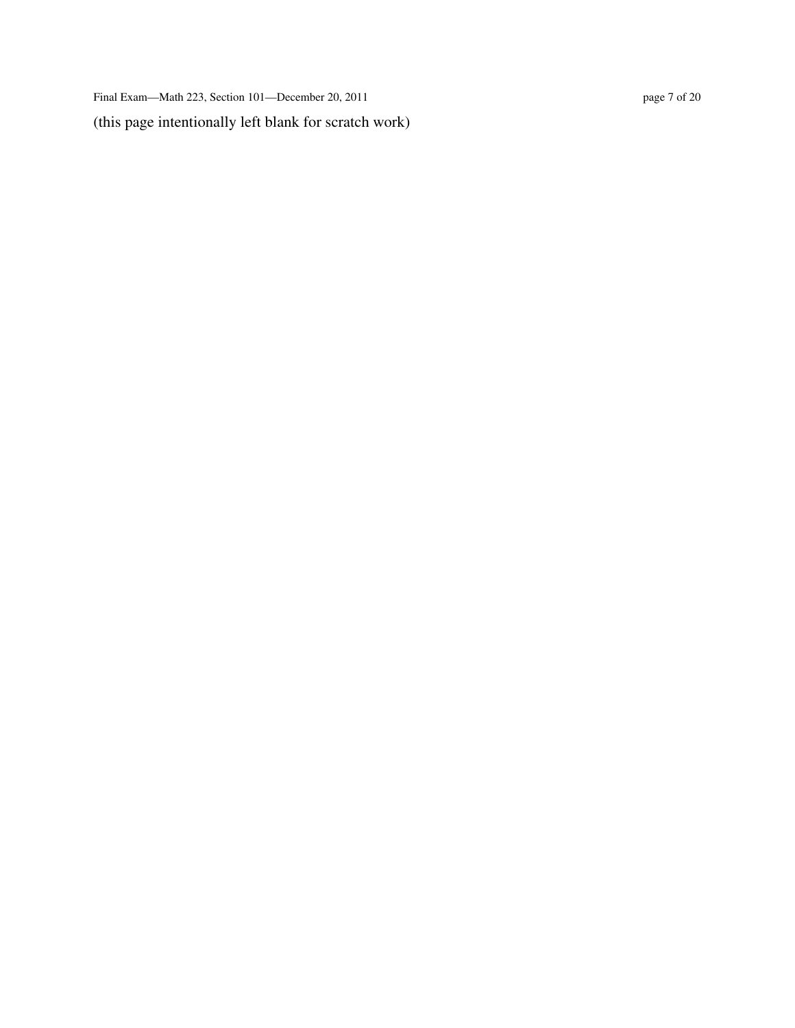Final Exam—Math 223, Section 101—December 20, 2011 page 7 of 20 (this page intentionally left blank for scratch work)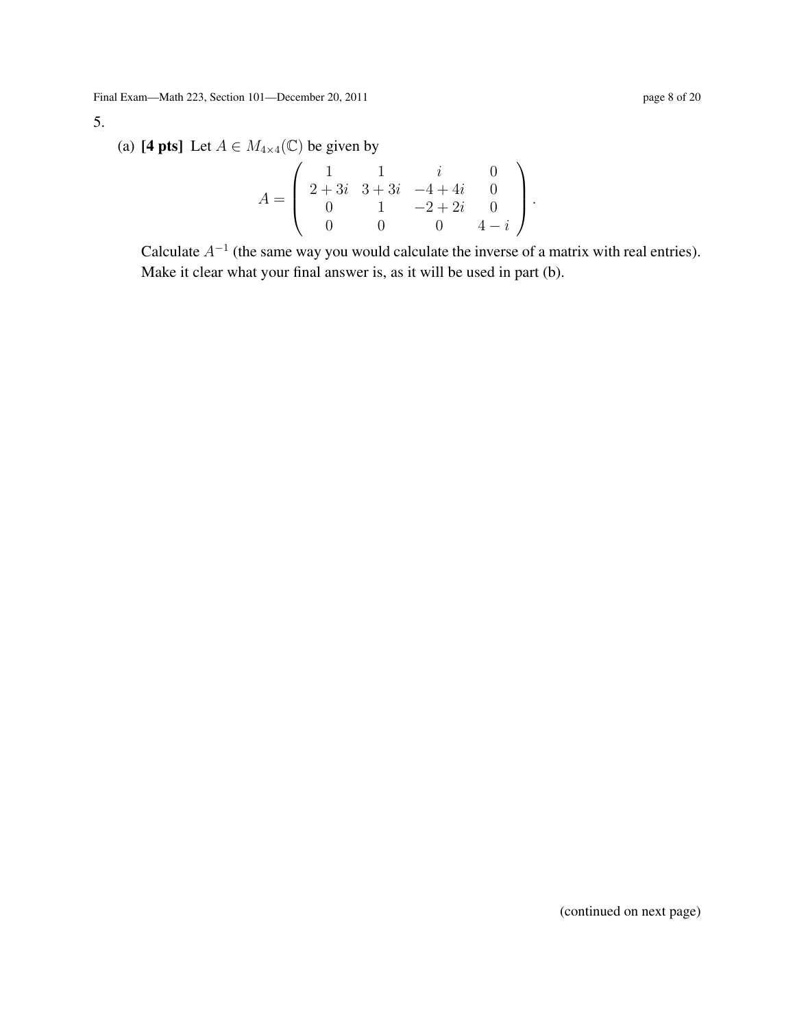## 5.

(a) [4 pts] Let  $A \in M_{4 \times 4}(\mathbb{C})$  be given by

$$
A = \left( \begin{array}{rrrrr} 1 & 1 & i & 0 \\ 2+3i & 3+3i & -4+4i & 0 \\ 0 & 1 & -2+2i & 0 \\ 0 & 0 & 0 & 4-i \end{array} \right).
$$

Calculate  $A^{-1}$  (the same way you would calculate the inverse of a matrix with real entries). Make it clear what your final answer is, as it will be used in part (b).

(continued on next page)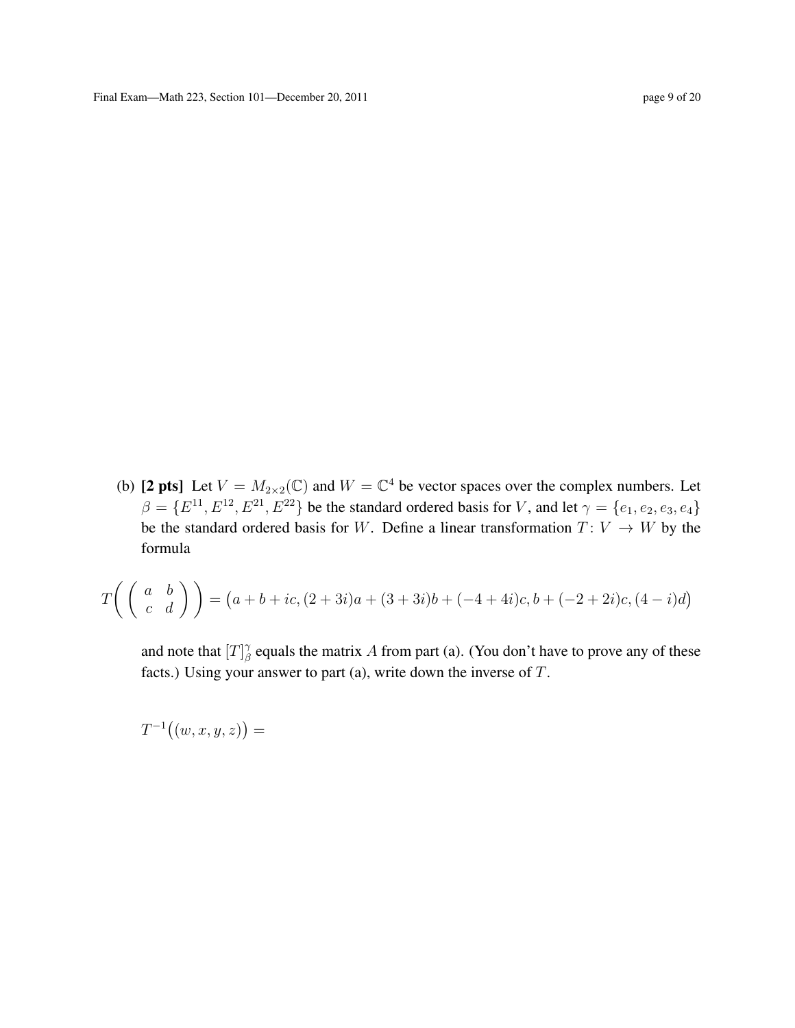(b) [2 pts] Let  $V = M_{2 \times 2}(\mathbb{C})$  and  $W = \mathbb{C}^4$  be vector spaces over the complex numbers. Let  $\beta = \{E^{11}, E^{12}, E^{21}, E^{22}\}\$  be the standard ordered basis for V, and let  $\gamma = \{e_1, e_2, e_3, e_4\}$ be the standard ordered basis for W. Define a linear transformation  $T: V \to W$  by the formula

$$
T\left(\begin{pmatrix} a & b \\ c & d \end{pmatrix}\right) = (a+b+ic, (2+3i)a + (3+3i)b + (-4+4i)c, b + (-2+2i)c, (4-i)d)
$$

and note that  $[T]_A^{\gamma}$  $\beta$  equals the matrix A from part (a). (You don't have to prove any of these facts.) Using your answer to part (a), write down the inverse of  $T$ .

 $T^{-1}((w, x, y, z)) =$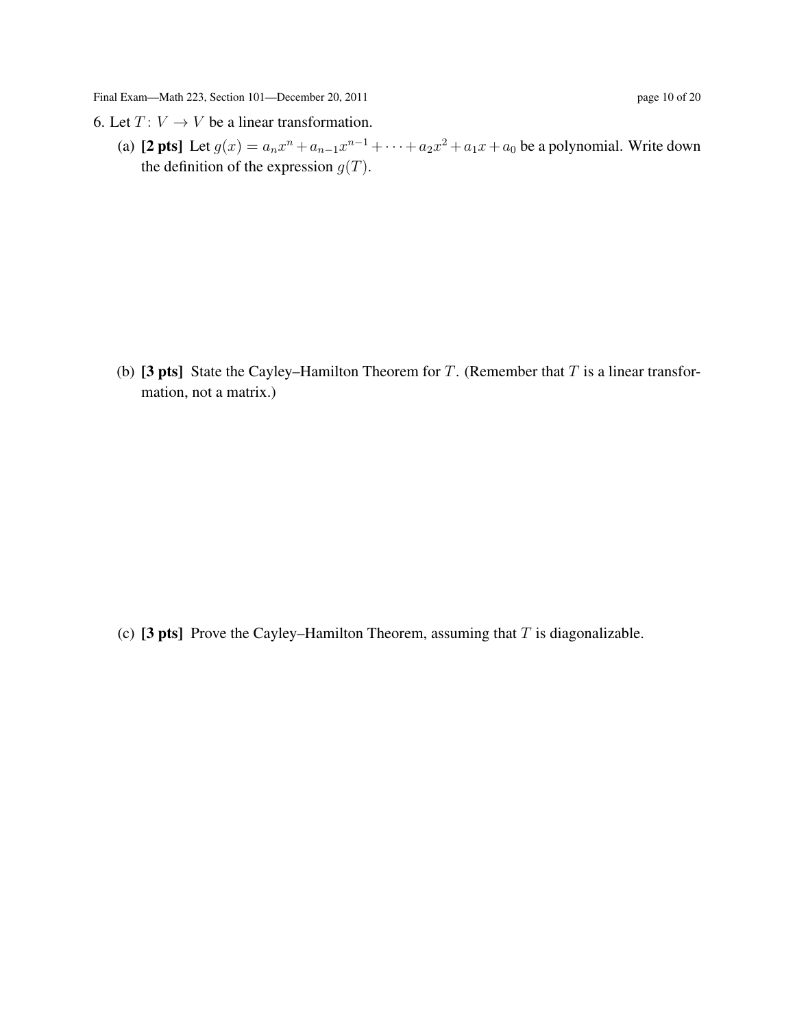- 6. Let  $T: V \to V$  be a linear transformation.
	- (a) [2 pts] Let  $g(x) = a_n x^n + a_{n-1} x^{n-1} + \cdots + a_2 x^2 + a_1 x + a_0$  be a polynomial. Write down the definition of the expression  $g(T)$ .

(b) [3 pts] State the Cayley–Hamilton Theorem for T. (Remember that  $T$  is a linear transformation, not a matrix.)

(c) [3 pts] Prove the Cayley–Hamilton Theorem, assuming that  $T$  is diagonalizable.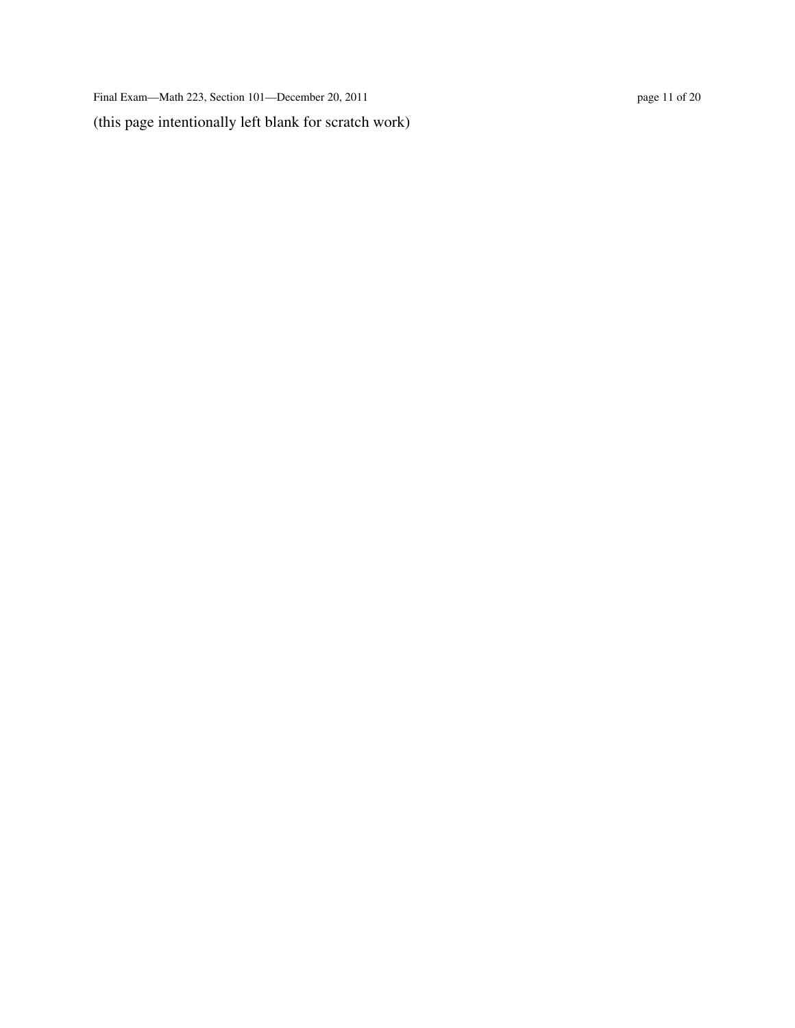Final Exam—Math 223, Section 101—December 20, 2011 page 11 of 20 (this page intentionally left blank for scratch work)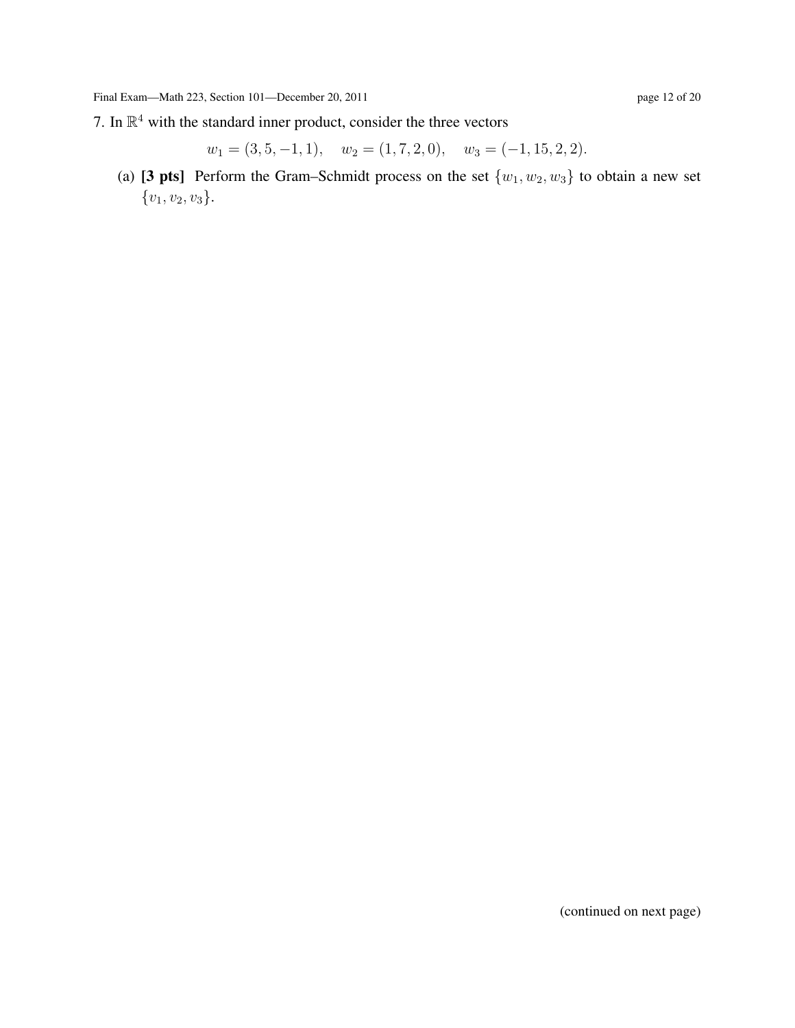7. In  $\mathbb{R}^4$  with the standard inner product, consider the three vectors

 $w_1 = (3, 5, -1, 1), \quad w_2 = (1, 7, 2, 0), \quad w_3 = (-1, 15, 2, 2).$ 

(a) [3 pts] Perform the Gram–Schmidt process on the set  $\{w_1, w_2, w_3\}$  to obtain a new set  ${v_1, v_2, v_3}.$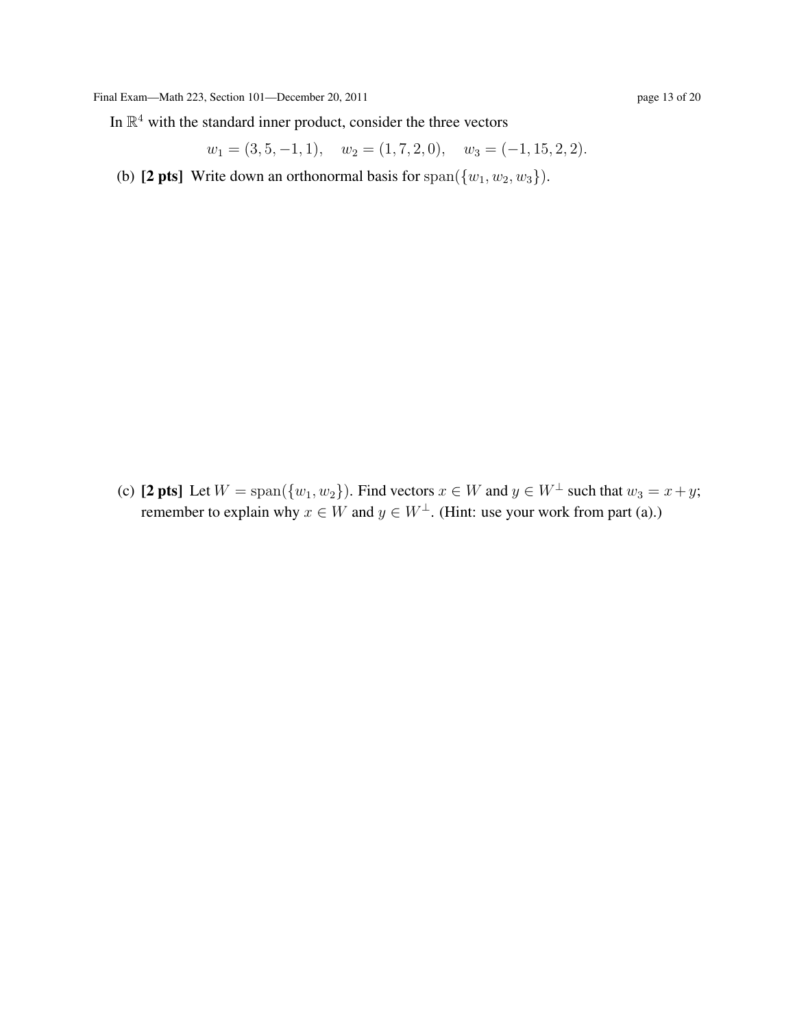In  $\mathbb{R}^4$  with the standard inner product, consider the three vectors

 $w_1 = (3, 5, -1, 1), \quad w_2 = (1, 7, 2, 0), \quad w_3 = (-1, 15, 2, 2).$ 

(b) [2 pts] Write down an orthonormal basis for span( $\{w_1, w_2, w_3\}$ ).

(c) [2 pts] Let  $W = \text{span}(\{w_1, w_2\})$ . Find vectors  $x \in W$  and  $y \in W^{\perp}$  such that  $w_3 = x + y$ ; remember to explain why  $x \in W$  and  $y \in W^{\perp}$ . (Hint: use your work from part (a).)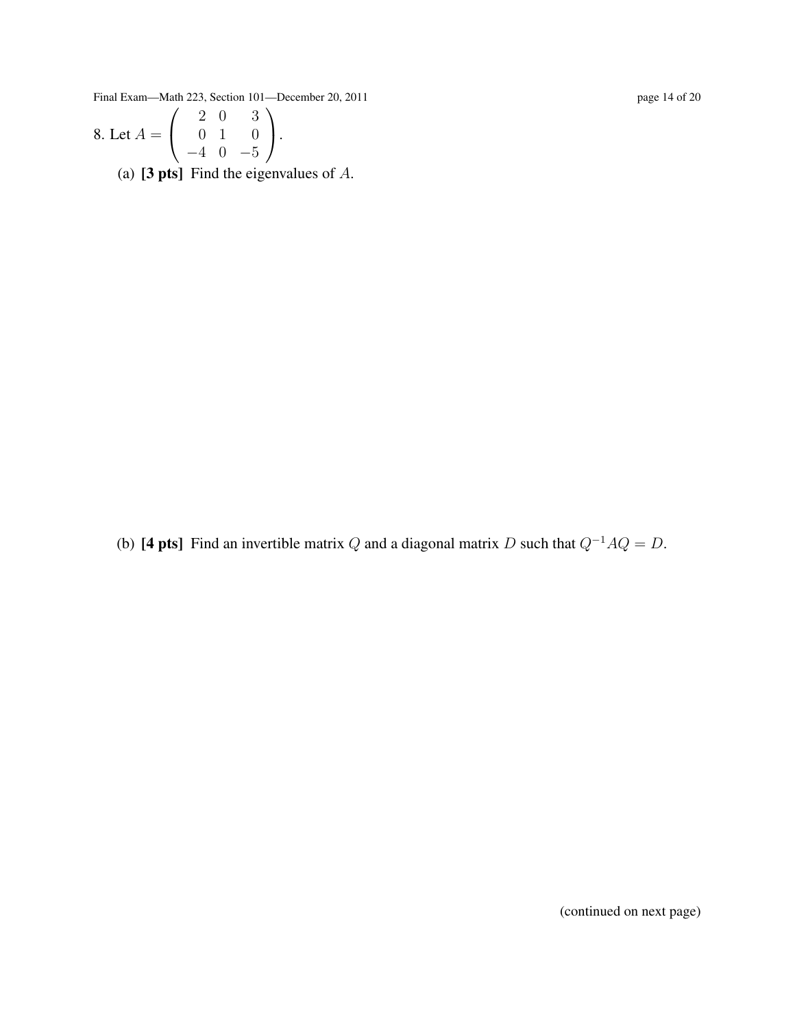Final Exam—Math 223, Section 101—December 20, 2011 page 14 of 20 page 14 of 20

8. Let 
$$
A = \begin{pmatrix} 2 & 0 & 3 \\ 0 & 1 & 0 \\ -4 & 0 & -5 \end{pmatrix}
$$
.  
\n(a) [3 pts] Find the eigenvalues of A.

(b) [4 pts] Find an invertible matrix Q and a diagonal matrix D such that  $Q^{-1}AQ = D$ .

(continued on next page)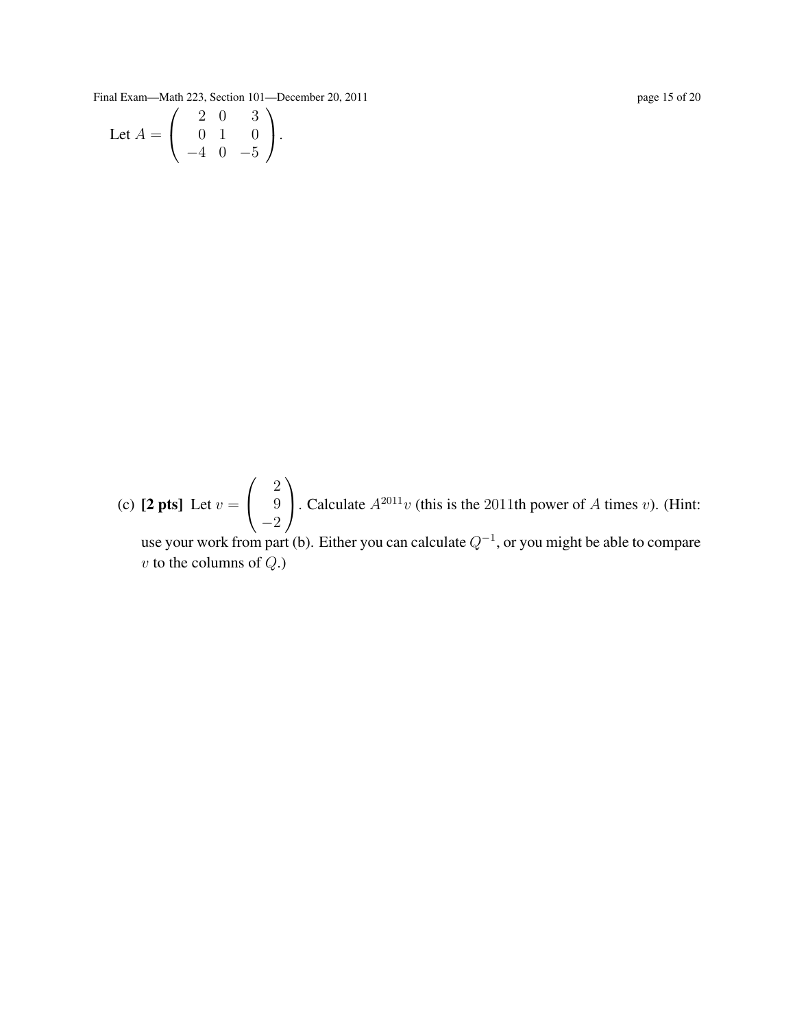Final Exam—Math 223, Section 101—December 20, 2011 page 15 of 20

Let 
$$
A = \begin{pmatrix} 2 & 0 & 3 \\ 0 & 1 & 0 \\ -4 & 0 & -5 \end{pmatrix}
$$
.

(c)  $[2 \text{ pts}]$  Let  $v =$  $\sqrt{ }$  $\overline{1}$ 2 9 −2  $\setminus$ . Calculate  $A^{2011}v$  (this is the 2011th power of A times v). (Hint: use your work from part (b). Either you can calculate  $Q^{-1}$ , or you might be able to compare  $v$  to the columns of  $Q$ .)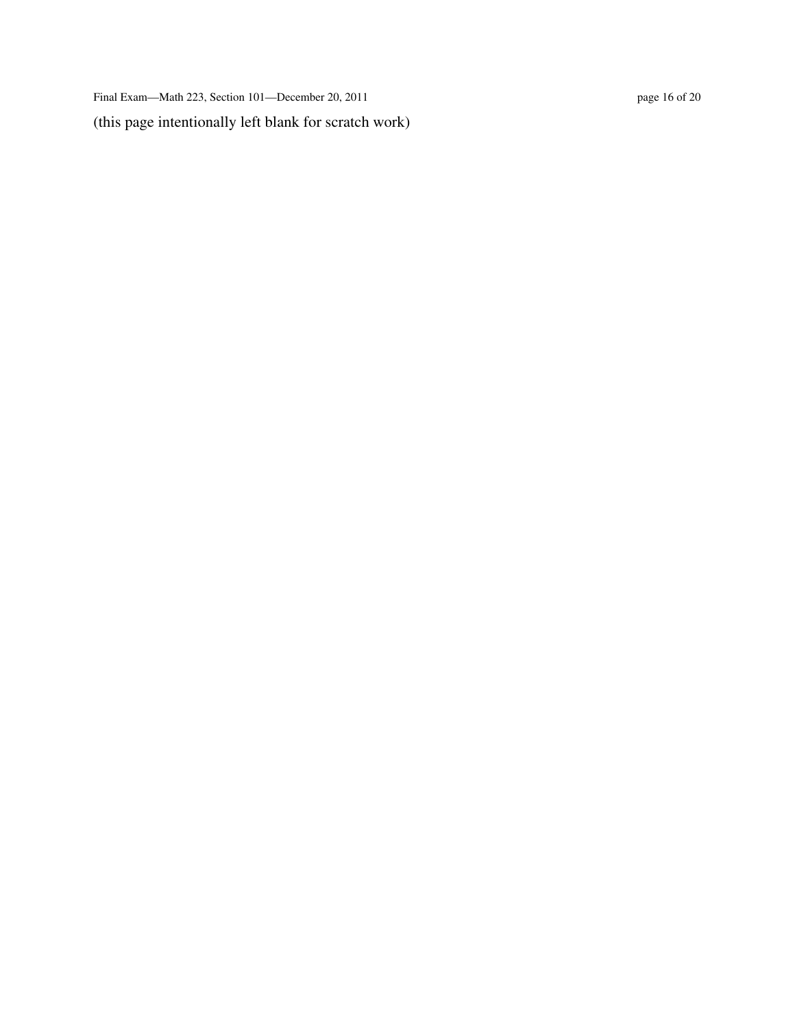Final Exam—Math 223, Section 101—December 20, 2011 page 16 of 20 (this page intentionally left blank for scratch work)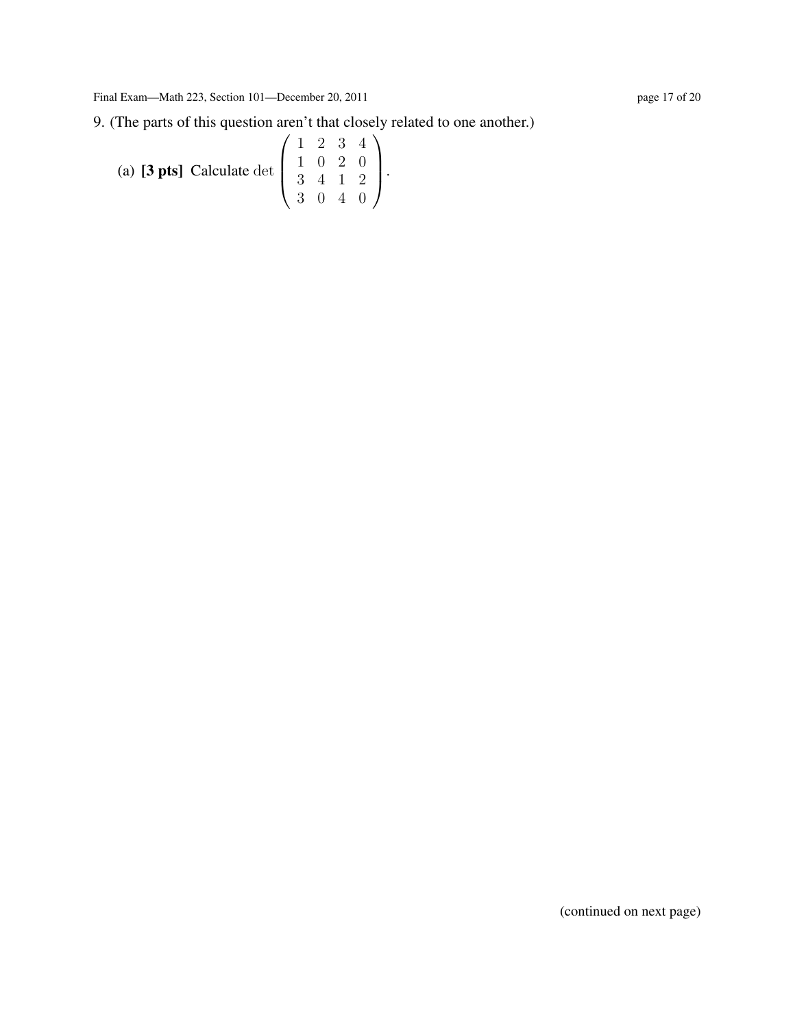(a) **[3 pts]** Calculate det 
$$
\begin{pmatrix} 1 & 2 & 3 & 4 \ 1 & 0 & 2 & 0 \ 3 & 4 & 1 & 2 \ 3 & 0 & 4 & 0 \end{pmatrix}
$$
.

(continued on next page)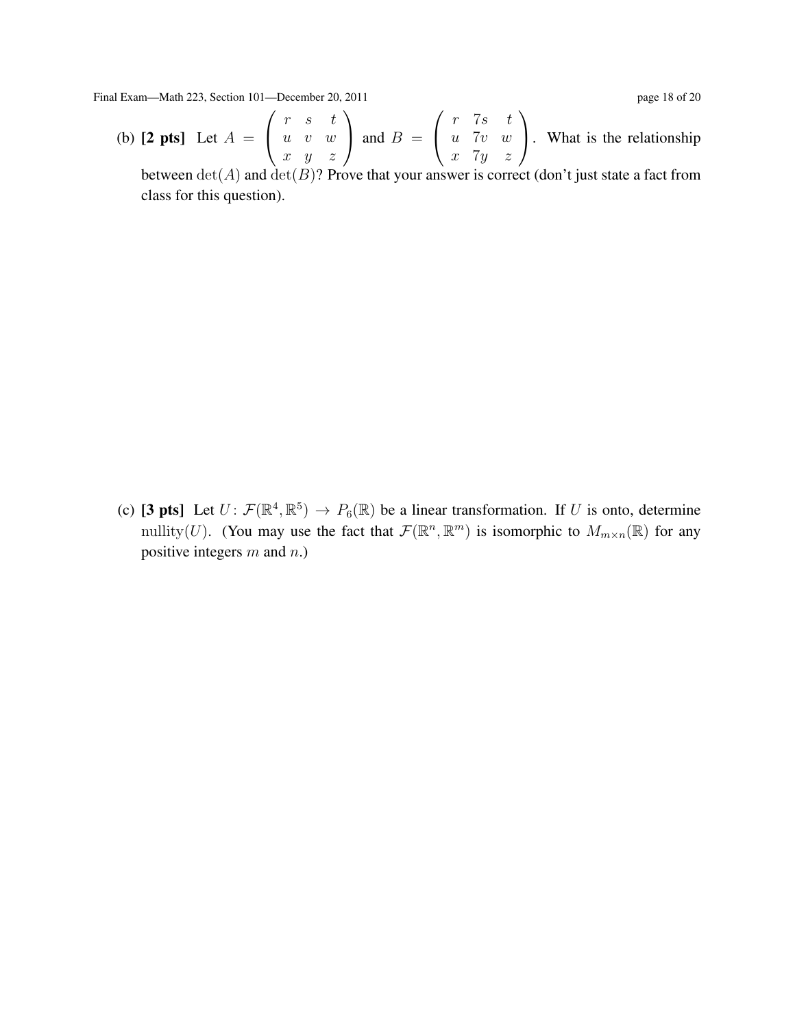Final Exam—Math 223, Section 101—December 20, 2011 page 18 of 20

(b)  $[2 \text{ pts}]$  Let  $A =$  $\sqrt{ }$  $\overline{1}$  $r \quad s \quad t$ u v w  $x \quad y \quad z$  $\setminus$  $\int$  and  $B =$  $\sqrt{ }$  $\mathcal{L}$ r 7s t  $u$  7 $v$   $w$  $x \quad 7y \quad z$  $\setminus$ . What is the relationship

between  $\det(A)$  and  $\det(B)$ ? Prove that your answer is correct (don't just state a fact from class for this question).

(c) [3 pts] Let  $U: \mathcal{F}(\mathbb{R}^4, \mathbb{R}^5) \to P_6(\mathbb{R})$  be a linear transformation. If U is onto, determine mullity(U). (You may use the fact that  $\mathcal{F}(\mathbb{R}^n, \mathbb{R}^m)$  is isomorphic to  $M_{m \times n}(\mathbb{R})$  for any positive integers  $m$  and  $n$ .)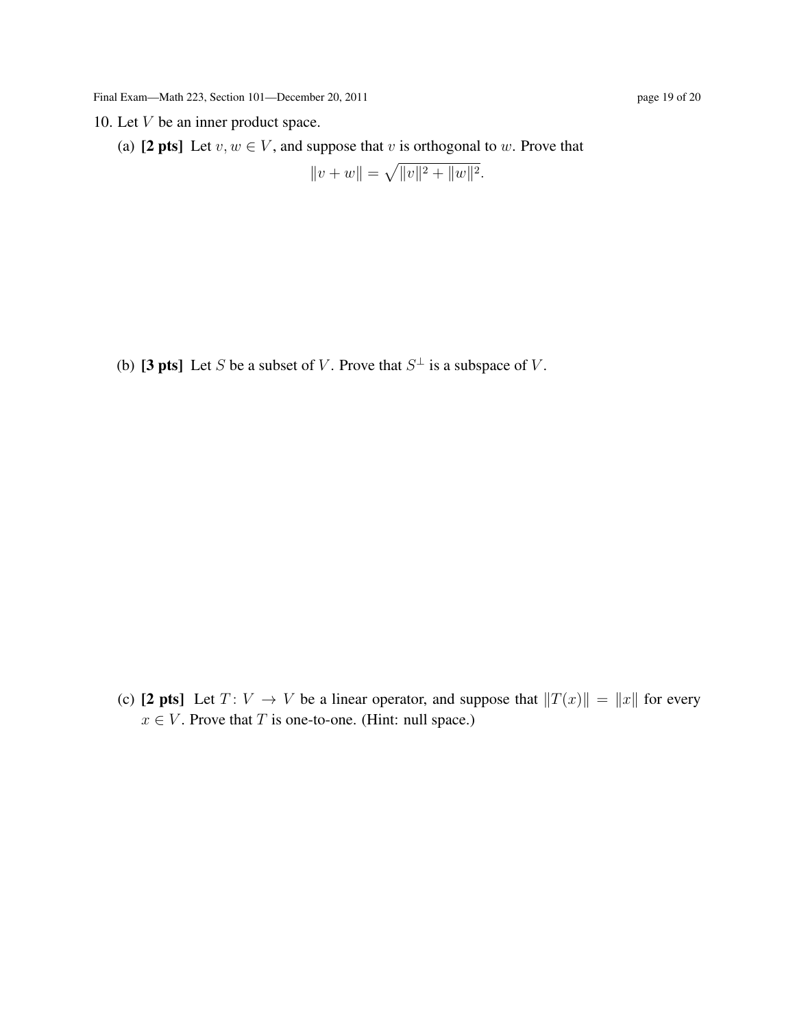10. Let  $V$  be an inner product space.

(a) [2 pts] Let  $v, w \in V$ , and suppose that v is orthogonal to w. Prove that

 $||v + w|| = \sqrt{||v||^2 + ||w||^2}.$ 

(b) [3 pts] Let S be a subset of V. Prove that  $S^{\perp}$  is a subspace of V.

(c) [2 pts] Let  $T: V \to V$  be a linear operator, and suppose that  $||T(x)|| = ||x||$  for every  $x \in V$ . Prove that T is one-to-one. (Hint: null space.)